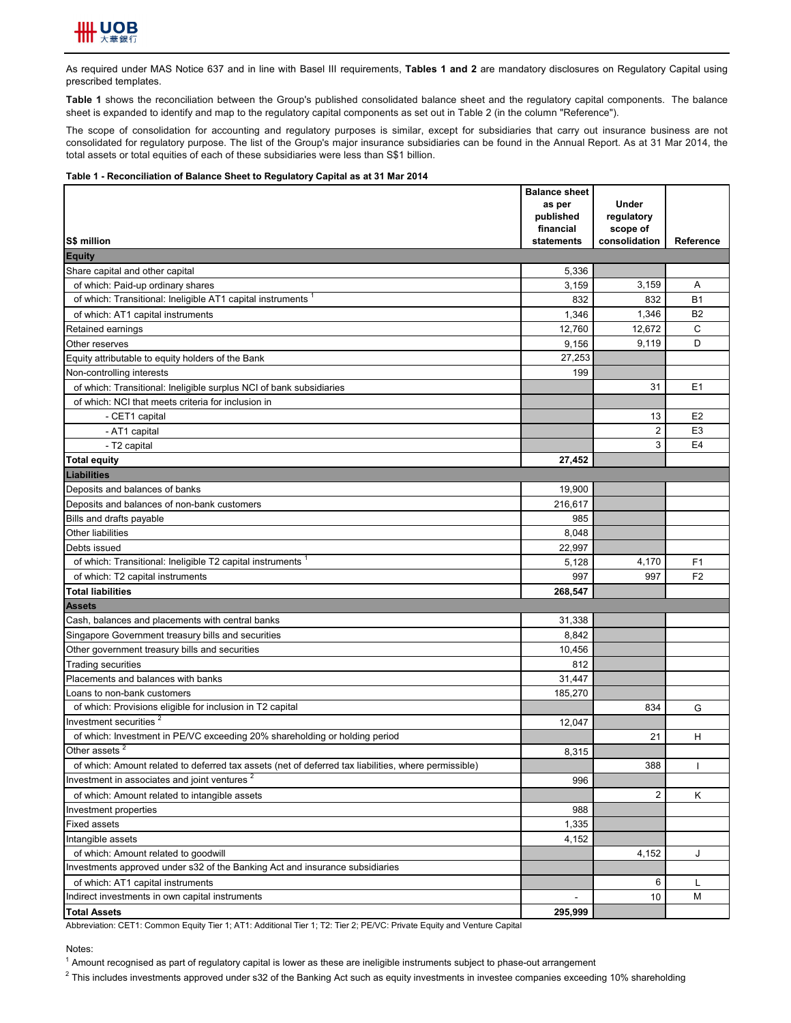

As required under MAS Notice 637 and in line with Basel III requirements, **Tables 1 and 2** are mandatory disclosures on Regulatory Capital using prescribed templates.

**Table 1** shows the reconciliation between the Group's published consolidated balance sheet and the regulatory capital components. The balance sheet is expanded to identify and map to the regulatory capital components as set out in Table 2 (in the column "Reference").

The scope of consolidation for accounting and regulatory purposes is similar, except for subsidiaries that carry out insurance business are not consolidated for regulatory purpose. The list of the Group's major insurance subsidiaries can be found in the Annual Report. As at 31 Mar 2014, the total assets or total equities of each of these subsidiaries were less than S\$1 billion.

## **Table 1 - Reconciliation of Balance Sheet to Regulatory Capital as at 31 Mar 2014**

|                                                                                                      | <b>Balance sheet</b>   |                        |                |
|------------------------------------------------------------------------------------------------------|------------------------|------------------------|----------------|
|                                                                                                      | as per                 | Under                  |                |
|                                                                                                      | published<br>financial | regulatory<br>scope of |                |
| S\$ million                                                                                          | statements             | consolidation          | Reference      |
| <b>Equity</b>                                                                                        |                        |                        |                |
| Share capital and other capital                                                                      | 5,336                  |                        |                |
| of which: Paid-up ordinary shares                                                                    | 3,159                  | 3,159                  | Α              |
| of which: Transitional: Ineligible AT1 capital instruments                                           | 832                    | 832                    | <b>B1</b>      |
| of which: AT1 capital instruments                                                                    | 1,346                  | 1,346                  | B <sub>2</sub> |
| Retained earnings                                                                                    | 12,760                 | 12,672                 | С              |
| Other reserves                                                                                       | 9,156                  | 9,119                  | D              |
| Equity attributable to equity holders of the Bank                                                    | 27,253                 |                        |                |
| Non-controlling interests                                                                            | 199                    |                        |                |
| of which: Transitional: Ineligible surplus NCI of bank subsidiaries                                  |                        | 31                     | E <sub>1</sub> |
| of which: NCI that meets criteria for inclusion in                                                   |                        |                        |                |
| - CET1 capital                                                                                       |                        | 13                     | E <sub>2</sub> |
| - AT1 capital                                                                                        |                        | $\overline{2}$         | E <sub>3</sub> |
| - T2 capital                                                                                         |                        | 3                      | E <sub>4</sub> |
| <b>Total equity</b>                                                                                  |                        |                        |                |
| <b>Liabilities</b>                                                                                   | 27,452                 |                        |                |
|                                                                                                      |                        |                        |                |
| Deposits and balances of banks                                                                       | 19,900                 |                        |                |
| Deposits and balances of non-bank customers                                                          | 216,617                |                        |                |
| Bills and drafts payable                                                                             | 985                    |                        |                |
| Other liabilities                                                                                    | 8,048                  |                        |                |
| Debts issued                                                                                         | 22,997                 |                        |                |
| of which: Transitional: Ineligible T2 capital instruments <sup>1</sup>                               | 5,128                  | 4,170                  | F <sub>1</sub> |
| of which: T2 capital instruments                                                                     | 997                    | 997                    | F <sub>2</sub> |
| <b>Total liabilities</b>                                                                             | 268,547                |                        |                |
| <b>Assets</b>                                                                                        |                        |                        |                |
| Cash, balances and placements with central banks                                                     | 31,338                 |                        |                |
| Singapore Government treasury bills and securities                                                   | 8,842                  |                        |                |
| Other government treasury bills and securities                                                       | 10,456                 |                        |                |
| <b>Trading securities</b>                                                                            | 812                    |                        |                |
| Placements and balances with banks                                                                   | 31,447                 |                        |                |
| Loans to non-bank customers                                                                          | 185,270                |                        |                |
| of which: Provisions eligible for inclusion in T2 capital                                            |                        | 834                    | G              |
| Investment securities <sup>2</sup>                                                                   | 12,047                 |                        |                |
| of which: Investment in PE/VC exceeding 20% shareholding or holding period                           |                        | 21                     | н              |
| Other assets <sup>2</sup>                                                                            | 8,315                  |                        |                |
| of which: Amount related to deferred tax assets (net of deferred tax liabilities, where permissible) |                        | 388                    | J.             |
| Investment in associates and joint ventures <sup>2</sup>                                             | 996                    |                        |                |
| of which: Amount related to intangible assets                                                        |                        | $\overline{2}$         | Κ              |
| Investment properties                                                                                | 988                    |                        |                |
| <b>Fixed assets</b>                                                                                  | 1,335                  |                        |                |
| Intangible assets                                                                                    | 4,152                  |                        |                |
| of which: Amount related to goodwill                                                                 |                        | 4,152                  | J              |
| Investments approved under s32 of the Banking Act and insurance subsidiaries                         |                        |                        |                |
| of which: AT1 capital instruments                                                                    |                        | 6                      | L              |
| Indirect investments in own capital instruments                                                      |                        | 10                     | М              |
| <b>Total Assets</b>                                                                                  | 295,999                |                        |                |

Abbreviation: CET1: Common Equity Tier 1; AT1: Additional Tier 1; T2: Tier 2; PE/VC: Private Equity and Venture Capital

Notes:

<sup>1</sup> Amount recognised as part of regulatory capital is lower as these are ineligible instruments subject to phase-out arrangement

 $^2$  This includes investments approved under s32 of the Banking Act such as equity investments in investee companies exceeding 10% shareholding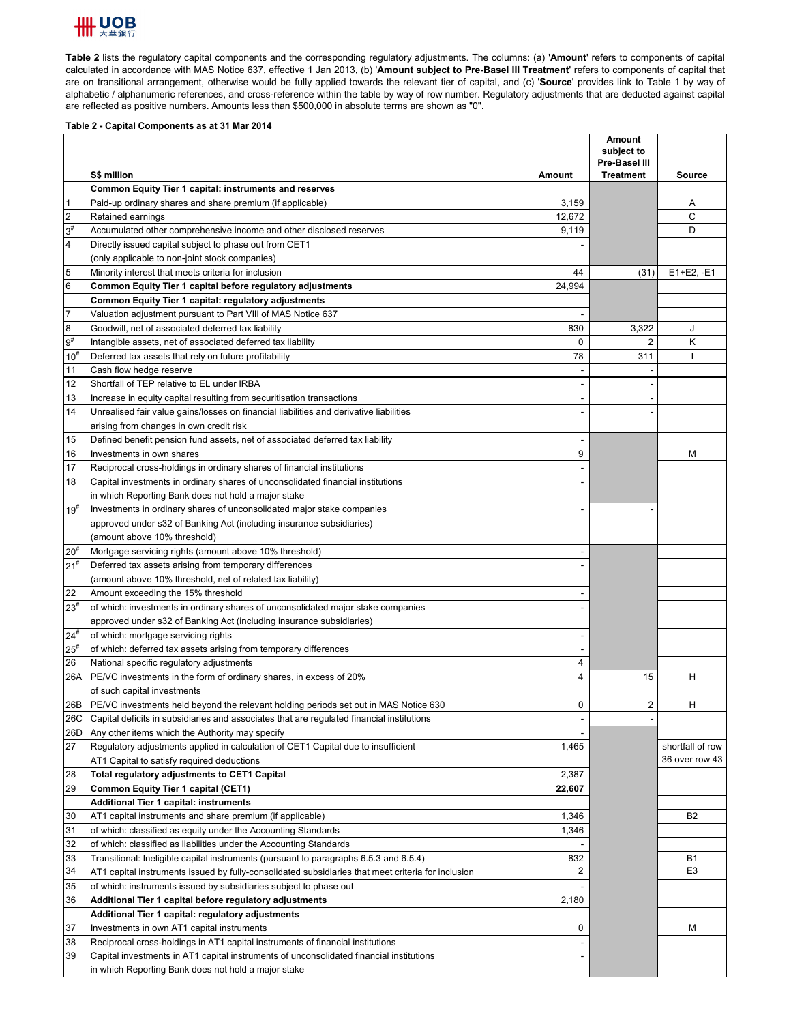

**Table 2** lists the regulatory capital components and the corresponding regulatory adjustments. The columns: (a) '**Amount**' refers to components of capital calculated in accordance with MAS Notice 637, effective 1 Jan 2013, (b) '**Amount subject to Pre-Basel III Treatment**' refers to components of capital that are on transitional arrangement, otherwise would be fully applied towards the relevant tier of capital, and (c) '**Source**' provides link to Table 1 by way of alphabetic / alphanumeric references, and cross-reference within the table by way of row number. Regulatory adjustments that are deducted against capital are reflected as positive numbers. Amounts less than \$500,000 in absolute terms are shown as "0".

## **Table 2 - Capital Components as at 31 Mar 2014**

|                 | S\$ million                                                                                                                | Amount         | Amount<br>subject to<br>Pre-Basel III<br><b>Treatment</b> | <b>Source</b>    |
|-----------------|----------------------------------------------------------------------------------------------------------------------------|----------------|-----------------------------------------------------------|------------------|
|                 |                                                                                                                            |                |                                                           |                  |
| $\overline{1}$  | <b>Common Equity Tier 1 capital: instruments and reserves</b><br>Paid-up ordinary shares and share premium (if applicable) | 3,159          |                                                           | Α                |
| $\overline{c}$  | Retained earnings                                                                                                          | 12,672         |                                                           | С                |
| $3^{\sharp}$    | Accumulated other comprehensive income and other disclosed reserves                                                        | 9,119          |                                                           | D                |
| $\overline{4}$  | Directly issued capital subject to phase out from CET1                                                                     |                |                                                           |                  |
|                 | (only applicable to non-joint stock companies)                                                                             |                |                                                           |                  |
| 5               | Minority interest that meets criteria for inclusion                                                                        | 44             | (31)                                                      | $E1+E2, -E1$     |
| $6\phantom{1}6$ | Common Equity Tier 1 capital before regulatory adjustments                                                                 | 24,994         |                                                           |                  |
|                 | <b>Common Equity Tier 1 capital: regulatory adjustments</b>                                                                |                |                                                           |                  |
| $\overline{7}$  | Valuation adjustment pursuant to Part VIII of MAS Notice 637                                                               |                |                                                           |                  |
| $^{\circ}$      | Goodwill, net of associated deferred tax liability                                                                         | 830            | 3,322                                                     | J                |
| 9 <sup>#</sup>  | Intangible assets, net of associated deferred tax liability                                                                | 0              | $\overline{2}$                                            | Κ                |
| $10^{#}$        | Deferred tax assets that rely on future profitability                                                                      | 78             | 311                                                       |                  |
| 11              | Cash flow hedge reserve                                                                                                    |                |                                                           |                  |
| 12              | Shortfall of TEP relative to EL under IRBA                                                                                 |                |                                                           |                  |
| 13              | Increase in equity capital resulting from securitisation transactions                                                      | $\sim$         |                                                           |                  |
| 14              | Unrealised fair value gains/losses on financial liabilities and derivative liabilities                                     |                |                                                           |                  |
|                 | arising from changes in own credit risk                                                                                    |                |                                                           |                  |
| 15              | Defined benefit pension fund assets, net of associated deferred tax liability                                              |                |                                                           |                  |
| 16              | Investments in own shares                                                                                                  | 9              |                                                           | М                |
| 17              | Reciprocal cross-holdings in ordinary shares of financial institutions                                                     |                |                                                           |                  |
| 18              | Capital investments in ordinary shares of unconsolidated financial institutions                                            |                |                                                           |                  |
|                 | in which Reporting Bank does not hold a major stake                                                                        |                |                                                           |                  |
| $19^{#}$        | Investments in ordinary shares of unconsolidated major stake companies                                                     |                |                                                           |                  |
|                 | approved under s32 of Banking Act (including insurance subsidiaries)                                                       |                |                                                           |                  |
|                 | (amount above 10% threshold)                                                                                               |                |                                                           |                  |
| $20^{#}$        | Mortgage servicing rights (amount above 10% threshold)                                                                     |                |                                                           |                  |
| $21^{#}$        | Deferred tax assets arising from temporary differences                                                                     |                |                                                           |                  |
|                 | (amount above 10% threshold, net of related tax liability)                                                                 |                |                                                           |                  |
| 22              | Amount exceeding the 15% threshold                                                                                         |                |                                                           |                  |
| $23^{#}$        | of which: investments in ordinary shares of unconsolidated major stake companies                                           |                |                                                           |                  |
|                 | approved under s32 of Banking Act (including insurance subsidiaries)                                                       |                |                                                           |                  |
| $24^{#}$        | of which: mortgage servicing rights                                                                                        |                |                                                           |                  |
| $25^{\rm{*}}$   | of which: deferred tax assets arising from temporary differences                                                           |                |                                                           |                  |
| 26              | National specific regulatory adjustments                                                                                   | 4              |                                                           |                  |
| 26A             | PE/VC investments in the form of ordinary shares, in excess of 20%                                                         | $\overline{4}$ | 15                                                        | н                |
|                 | of such capital investments                                                                                                |                |                                                           |                  |
| 26B             | PE/VC investments held beyond the relevant holding periods set out in MAS Notice 630                                       | 0              | 2                                                         | н                |
| 26C             | Capital deficits in subsidiaries and associates that are regulated financial institutions                                  |                | $\overline{a}$                                            |                  |
| 26D             | Any other items which the Authority may specify                                                                            |                |                                                           |                  |
| 27              | Regulatory adjustments applied in calculation of CET1 Capital due to insufficient                                          | 1,465          |                                                           | shortfall of row |
|                 | AT1 Capital to satisfy required deductions                                                                                 |                |                                                           | 36 over row 43   |
| 28              | Total regulatory adjustments to CET1 Capital                                                                               | 2,387          |                                                           |                  |
| 29              | Common Equity Tier 1 capital (CET1)                                                                                        | 22,607         |                                                           |                  |
|                 | <b>Additional Tier 1 capital: instruments</b>                                                                              |                |                                                           |                  |
| 30              | AT1 capital instruments and share premium (if applicable)                                                                  | 1,346          |                                                           | B <sub>2</sub>   |
| 31              | of which: classified as equity under the Accounting Standards                                                              | 1,346          |                                                           |                  |
| 32              | of which: classified as liabilities under the Accounting Standards                                                         |                |                                                           |                  |
| 33              | Transitional: Ineligible capital instruments (pursuant to paragraphs 6.5.3 and 6.5.4)                                      | 832            |                                                           | Β1               |
| 34              | AT1 capital instruments issued by fully-consolidated subsidiaries that meet criteria for inclusion                         | 2              |                                                           | E <sub>3</sub>   |
| 35              | of which: instruments issued by subsidiaries subject to phase out                                                          |                |                                                           |                  |
| 36              | Additional Tier 1 capital before regulatory adjustments                                                                    | 2,180          |                                                           |                  |
|                 | Additional Tier 1 capital: regulatory adjustments                                                                          |                |                                                           |                  |
| 37              | Investments in own AT1 capital instruments                                                                                 | 0              |                                                           | M                |
| 38              | Reciprocal cross-holdings in AT1 capital instruments of financial institutions                                             |                |                                                           |                  |
| 39              | Capital investments in AT1 capital instruments of unconsolidated financial institutions                                    |                |                                                           |                  |
|                 | in which Reporting Bank does not hold a major stake                                                                        |                |                                                           |                  |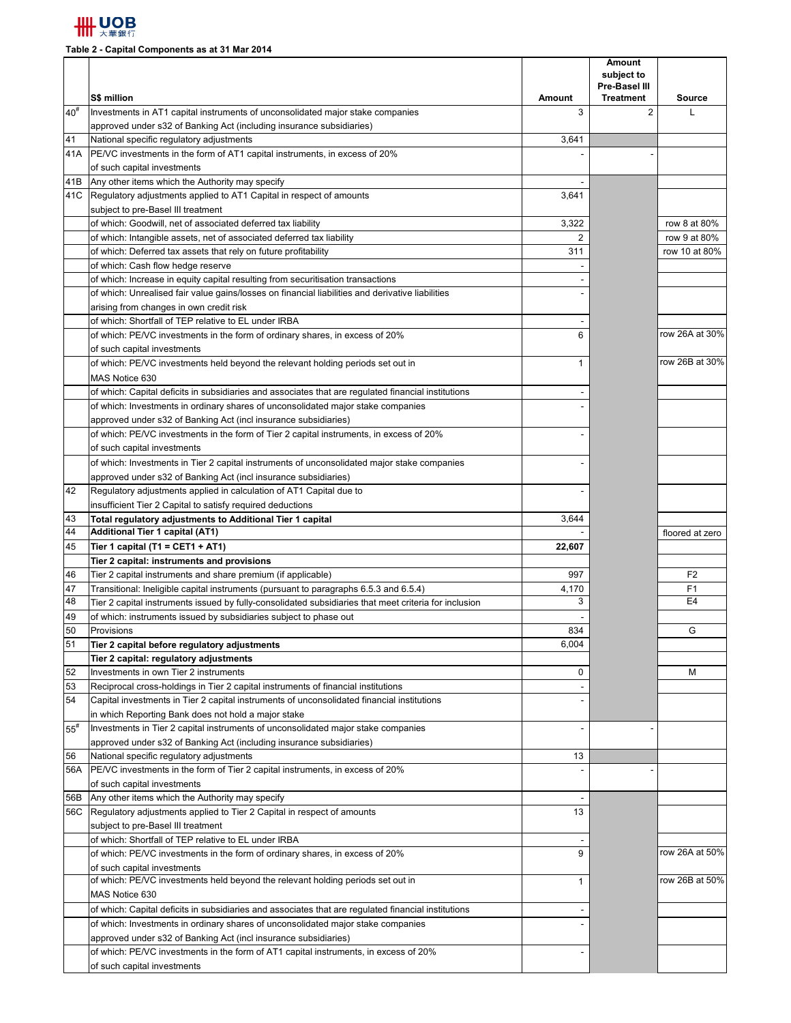

**Table 2 - Capital Components as at 31 Mar 2014**

|            |                                                                                                                                                           |                          | Amount<br>subject to              |                 |
|------------|-----------------------------------------------------------------------------------------------------------------------------------------------------------|--------------------------|-----------------------------------|-----------------|
|            | S\$ million                                                                                                                                               | Amount                   | Pre-Basel III<br><b>Treatment</b> | Source          |
| $40^{#}$   | Investments in AT1 capital instruments of unconsolidated major stake companies                                                                            | 3                        | $\overline{2}$                    | $\mathbf{L}$    |
|            | approved under s32 of Banking Act (including insurance subsidiaries)                                                                                      |                          |                                   |                 |
| 41         | National specific regulatory adjustments                                                                                                                  | 3,641                    |                                   |                 |
| 41A        | <b>PE/VC</b> investments in the form of AT1 capital instruments, in excess of 20%                                                                         |                          |                                   |                 |
|            | of such capital investments<br>Any other items which the Authority may specify                                                                            |                          |                                   |                 |
| 41B<br>41C | Regulatory adjustments applied to AT1 Capital in respect of amounts                                                                                       | 3,641                    |                                   |                 |
|            | subject to pre-Basel III treatment                                                                                                                        |                          |                                   |                 |
|            | of which: Goodwill, net of associated deferred tax liability                                                                                              | 3,322                    |                                   | row 8 at 80%    |
|            | of which: Intangible assets, net of associated deferred tax liability                                                                                     | 2                        |                                   | row 9 at 80%    |
|            | of which: Deferred tax assets that rely on future profitability                                                                                           | 311                      |                                   | row 10 at 80%   |
|            | of which: Cash flow hedge reserve                                                                                                                         |                          |                                   |                 |
|            | of which: Increase in equity capital resulting from securitisation transactions                                                                           |                          |                                   |                 |
|            | of which: Unrealised fair value gains/losses on financial liabilities and derivative liabilities                                                          |                          |                                   |                 |
|            | arising from changes in own credit risk                                                                                                                   |                          |                                   |                 |
|            | of which: Shortfall of TEP relative to EL under IRBA                                                                                                      |                          |                                   | row 26A at 30%  |
|            | of which: PE/VC investments in the form of ordinary shares, in excess of 20%                                                                              | 6                        |                                   |                 |
|            | of such capital investments<br>of which: PE/VC investments held beyond the relevant holding periods set out in                                            | $\mathbf{1}$             |                                   | row 26B at 30%  |
|            | MAS Notice 630                                                                                                                                            |                          |                                   |                 |
|            | of which: Capital deficits in subsidiaries and associates that are regulated financial institutions                                                       |                          |                                   |                 |
|            | of which: Investments in ordinary shares of unconsolidated major stake companies                                                                          |                          |                                   |                 |
|            | approved under s32 of Banking Act (incl insurance subsidiaries)                                                                                           |                          |                                   |                 |
|            | of which: PE/VC investments in the form of Tier 2 capital instruments, in excess of 20%                                                                   |                          |                                   |                 |
|            | of such capital investments                                                                                                                               |                          |                                   |                 |
|            | of which: Investments in Tier 2 capital instruments of unconsolidated major stake companies                                                               |                          |                                   |                 |
|            | approved under s32 of Banking Act (incl insurance subsidiaries)                                                                                           |                          |                                   |                 |
| 42         | Regulatory adjustments applied in calculation of AT1 Capital due to                                                                                       |                          |                                   |                 |
|            | insufficient Tier 2 Capital to satisfy required deductions                                                                                                |                          |                                   |                 |
| 43<br>44   | Total regulatory adjustments to Additional Tier 1 capital                                                                                                 | 3,644                    |                                   |                 |
| 45         | <b>Additional Tier 1 capital (AT1)</b><br>Tier 1 capital (T1 = CET1 + AT1)                                                                                | 22,607                   |                                   | floored at zero |
|            | Tier 2 capital: instruments and provisions                                                                                                                |                          |                                   |                 |
| 46         | Tier 2 capital instruments and share premium (if applicable)                                                                                              | 997                      |                                   | F <sub>2</sub>  |
| 47         | Transitional: Ineligible capital instruments (pursuant to paragraphs 6.5.3 and 6.5.4)                                                                     | 4,170                    |                                   | F <sub>1</sub>  |
| 48         | Tier 2 capital instruments issued by fully-consolidated subsidiaries that meet criteria for inclusion                                                     | 3                        |                                   | E <sub>4</sub>  |
| 49         | of which: instruments issued by subsidiaries subject to phase out                                                                                         |                          |                                   |                 |
| 50         | Provisions                                                                                                                                                | 834                      |                                   | G               |
| 51         | Tier 2 capital before regulatory adjustments                                                                                                              | 6,004                    |                                   |                 |
|            | Tier 2 capital: regulatory adjustments                                                                                                                    |                          |                                   |                 |
| 52         | Investments in own Tier 2 instruments                                                                                                                     | 0                        |                                   | M               |
| 53         | Reciprocal cross-holdings in Tier 2 capital instruments of financial institutions                                                                         |                          |                                   |                 |
| 54         | Capital investments in Tier 2 capital instruments of unconsolidated financial institutions                                                                |                          |                                   |                 |
|            | in which Reporting Bank does not hold a major stake                                                                                                       |                          |                                   |                 |
| $55^{\#}$  | Investments in Tier 2 capital instruments of unconsolidated major stake companies<br>approved under s32 of Banking Act (including insurance subsidiaries) |                          |                                   |                 |
| 56         | National specific regulatory adjustments                                                                                                                  | 13                       |                                   |                 |
| 56A        | PE/VC investments in the form of Tier 2 capital instruments, in excess of 20%                                                                             |                          |                                   |                 |
|            | of such capital investments                                                                                                                               |                          |                                   |                 |
| 56B        | Any other items which the Authority may specify                                                                                                           | $\overline{\phantom{a}}$ |                                   |                 |
| 56C        | Regulatory adjustments applied to Tier 2 Capital in respect of amounts                                                                                    | 13                       |                                   |                 |
|            | subject to pre-Basel III treatment                                                                                                                        |                          |                                   |                 |
|            | of which: Shortfall of TEP relative to EL under IRBA                                                                                                      |                          |                                   |                 |
|            | of which: PE/VC investments in the form of ordinary shares, in excess of 20%                                                                              | 9                        |                                   | row 26A at 50%  |
|            | of such capital investments                                                                                                                               |                          |                                   |                 |
|            | of which: PE/VC investments held beyond the relevant holding periods set out in                                                                           | 1                        |                                   | row 26B at 50%  |
|            | MAS Notice 630                                                                                                                                            |                          |                                   |                 |
|            | of which: Capital deficits in subsidiaries and associates that are regulated financial institutions                                                       |                          |                                   |                 |
|            | of which: Investments in ordinary shares of unconsolidated major stake companies                                                                          |                          |                                   |                 |
|            | approved under s32 of Banking Act (incl insurance subsidiaries)<br>of which: PE/VC investments in the form of AT1 capital instruments, in excess of 20%   |                          |                                   |                 |
|            | of such capital investments                                                                                                                               |                          |                                   |                 |